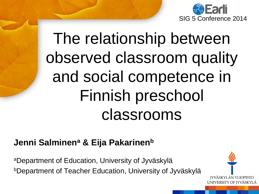

# The relationship between observed classroom quality and social competence in Finnish preschool classrooms

#### **Jenni Salminen<sup>a</sup> & Eija Pakarinen<sup>b</sup>**

<sup>a</sup>Department of Education, University of Jyväskylä <sup>b</sup>Department of Teacher Education, University of Jyväskylä

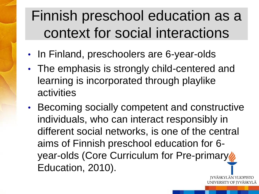## Finnish preschool education as a context for social interactions

- In Finland, preschoolers are 6-year-olds
- The emphasis is strongly child-centered and learning is incorporated through playlike activities
- Becoming socially competent and constructive individuals, who can interact responsibly in different social networks, is one of the central aims of Finnish preschool education for 6 year-olds (Core Curriculum for Pre-primary Education, 2010).

ÄSKYLÄN YLIOPISTO JNIVERSITY OF IYVÄSKYLÄ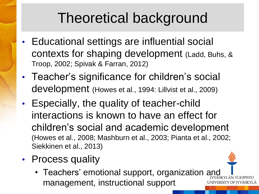## Theoretical background

- Educational settings are influential social contexts for shaping development (Ladd, Buhs, & Troop, 2002; Spivak & Farran, 2012)
- Teacher's significance for children's social development (Howes et al., 1994: Lillvist et al., 2009)
- Especially, the quality of teacher-child interactions is known to have an effect for children's social and academic development (Howes et al., 2008; Mashburn et al., 2003; Pianta et al., 2002; Siekkinen et al., 2013)
- Process quality
	- Teachers' emotional support, organization and management, instructional supportUNIVERSITY OF IYVÄSKYLÄ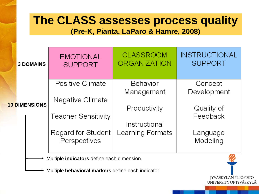#### **The CLASS assesses process quality**

**(Pre-K, Pianta, LaParo & Hamre, 2008)**

|                                            | <b>3 DOMAINS</b>     | <b>EMOTIONAL</b><br><b>SUPPORT</b> | <b>CLASSROOM</b><br><b>ORGANIZATION</b> | <b>INSTRUCTIONAL</b><br><b>SUPPORT</b> |  |  |  |
|--------------------------------------------|----------------------|------------------------------------|-----------------------------------------|----------------------------------------|--|--|--|
|                                            |                      | Positive Climate                   | Behavior                                | Concept                                |  |  |  |
|                                            |                      | Negative Climate                   | Management                              | Development                            |  |  |  |
|                                            | <b>10 DIMENSIONS</b> |                                    | Productivity                            | Quality of                             |  |  |  |
|                                            |                      | <b>Teacher Sensitivity</b>         |                                         | Feedback                               |  |  |  |
|                                            |                      |                                    | Instructional                           |                                        |  |  |  |
|                                            |                      | Regard for Student                 | Learning Formats                        | Language                               |  |  |  |
|                                            |                      | Perspectives                       |                                         | Modeling                               |  |  |  |
|                                            |                      |                                    |                                         |                                        |  |  |  |
| Multiple indicators define each dimension. |                      |                                    |                                         |                                        |  |  |  |

**IYVÄSKYLÄN YLIOPISTO** UNIVERSITY OF JYVÄSKYLÄ

Multiple **behavioral markers** define each indicator.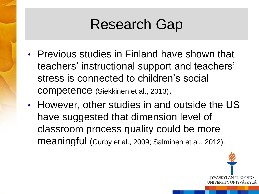## Research Gap

- Previous studies in Finland have shown that teachers' instructional support and teachers' stress is connected to children's social competence (Siekkinen et al., 2013).
- However, other studies in and outside the US have suggested that dimension level of classroom process quality could be more meaningful (Curby et al., 2009; Salminen et al., 2012).

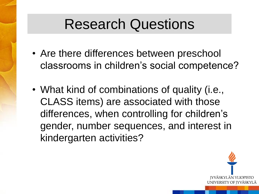#### Research Questions

- Are there differences between preschool classrooms in children's social competence?
- What kind of combinations of quality (i.e., CLASS items) are associated with those differences, when controlling for children's gender, number sequences, and interest in kindergarten activities?

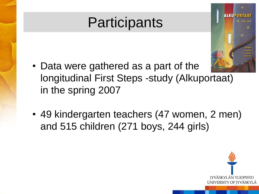## **Participants**



- Data were gathered as a part of the longitudinal First Steps -study (Alkuportaat) in the spring 2007
- 49 kindergarten teachers (47 women, 2 men) and 515 children (271 boys, 244 girls)

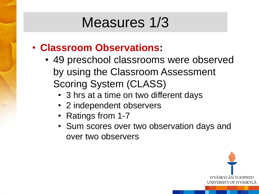### Measures 1/3

- **Classroom Observations:**
	- 49 preschool classrooms were observed by using the Classroom Assessment Scoring System (CLASS)
		- 3 hrs at a time on two different days
		- 2 independent observers
		- Ratings from 1-7
		- Sum scores over two observation days and over two observers

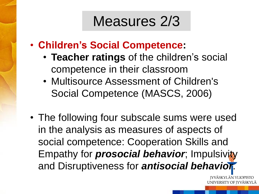#### Measures 2/3

- **Children's Social Competence:**
	- **Teacher ratings** of the children's social competence in their classroom
	- Multisource Assessment of Children's Social Competence (MASCS, 2006)
- The following four subscale sums were used in the analysis as measures of aspects of social competence: Cooperation Skills and Empathy for *prosocial behavior*; Impulsivity and Disruptiveness for *antisocial behavior*.

**IYVÄSKYLÄN YLIOPISTO** UNIVERSITY OF IYVÄSKYLÄ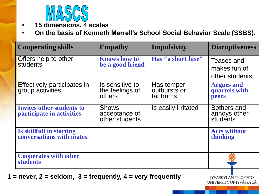

• **15 dimensions, 4 scales**

• **On the basis of Kenneth Merrell's School Social Behavior Scale (SSBS).** 

| <b>Cooperating skills</b>                              | <b>Empathy</b>                                  | Impulsivity                            | <b>Disruptiveness</b>                        |
|--------------------------------------------------------|-------------------------------------------------|----------------------------------------|----------------------------------------------|
| Offers help to other<br>students                       | <b>Knows how to</b><br>be a good friend         | Has "a short fuse"                     | Teases and<br>makes fun of<br>other students |
| Effectively participates in<br>group activities        | Is sensitive to<br>the feelings of<br>others    | Has temper<br>outbursts or<br>tantrums | <b>Argues and<br/>quarrels with</b><br>peers |
| Invites other students to<br>participate in activities | <b>Shows</b><br>acceptance of<br>other students | Is easily irritated                    | Bothers and<br>annoys other<br>students      |
| Is skillfull in starting<br>conversations with mates   |                                                 |                                        | <b>Acts without</b><br>thinking              |
| <b>Cooperates with other</b><br><b>students</b>        |                                                 |                                        |                                              |

**1 = never, 2 = seldom, 3 = frequently, 4 = very frequently**

JYVÄSKYLÄN YLIOPISTO UNIVERSITY OF JYVÄSKYLÄ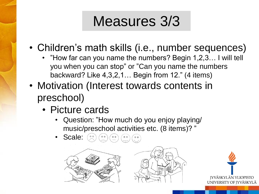## Measures 3/3

- Children's math skills (i.e., number sequences)
	- "How far can you name the numbers? Begin 1,2,3… I will tell you when you can stop" or "Can you name the numbers backward? Like 4,3,2,1… Begin from 12." (4 items)
- Motivation (Interest towards contents in preschool)
	- Picture cards
		- Question: "How much do you enjoy playing/ music/preschool activities etc. (8 items)? "
		- Scale:



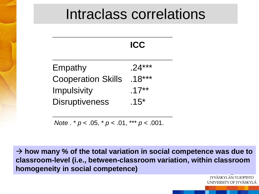#### Intraclass correlations

 $\blacksquare$ 

|                           | IL .L .  |
|---------------------------|----------|
| Empathy                   | $.24***$ |
| <b>Cooperation Skills</b> | $.18***$ |
| <b>Impulsivity</b>        | $.17***$ |
| <b>Disruptiveness</b>     | $.15*$   |

**\_\_\_\_\_\_\_\_\_\_\_\_\_\_\_\_\_\_\_\_\_\_\_\_\_**

*Note* . \* *p* < .05, \* *p* < .01, \*\*\* *p* < .001.

**\_\_\_\_\_\_\_\_\_\_\_\_\_\_\_\_\_\_\_\_\_\_\_\_\_**

 $\rightarrow$  how many % of the total variation in social competence was due to **classroom-level (i.e., between-classroom variation, within classroom homogeneity in social competence)**

> **IYVÄSKYLÄN YLIOPISTO** UNIVERSITY OF JYVÄSKYLÄ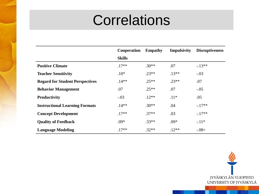### **Correlations**

|                                        | Cooperation   | <b>Empathy</b> | <b>Impulsivity</b> | <b>Disruptiveness</b> |
|----------------------------------------|---------------|----------------|--------------------|-----------------------|
|                                        | <b>Skills</b> |                |                    |                       |
| <b>Positive Climate</b>                | $.17**$       | $.30**$        | .07                | $-13**$               |
| <b>Teacher Sensitivity</b>             | $.10*$        | $.23**$        | $.13**$            | $-.03$                |
| <b>Regard for Student Perspectives</b> | $.14**$       | $.25**$        | $.23**$            | .07                   |
| <b>Behavior Management</b>             | .07           | $.25**$        | .07                | $-.05$                |
| <b>Productivity</b>                    | $-.03$        | $.12**$        | $.11*$             | .05                   |
| <b>Instructional Learning Formats</b>  | $.14**$       | $.30**$        | .04                | $-.17**$              |
| <b>Concept Development</b>             | $.17**$       | $.37**$        | .03                | $-17**$               |
| <b>Quality of Feedback</b>             | $.09*$        | $.33**$        | $.09*$             | $-.11*$               |
| <b>Language Modeling</b>               | $.17**$       | $.32**$        | $.12**$            | $-.08+$               |

JYVÄSKYLÄN YLIOPISTO<br>UNIVERSITY OF JYVÄSKYLÄ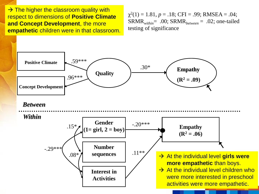$\rightarrow$  The higher the classroom quality with respect to dimensions of **Positive Climate and Concept Development**, the more **empathetic** children were in that classroom.

 $\chi^2(1) = 1.81, p = .18$ ; CFI = .99; RMSEA = .04; SRMR*within*= .00; SRMR*between* = .02; one-tailed testing of significance

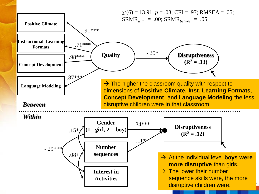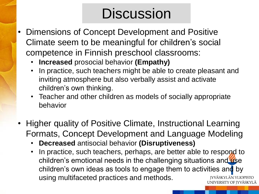## **Discussion**

- Dimensions of Concept Development and Positive Climate seem to be meaningful for children's social competence in Finnish preschool classrooms:
	- **Increased** prosocial behavior **(Empathy)**
	- In practice, such teachers might be able to create pleasant and inviting atmosphere but also verbally assist and activate children's own thinking.
	- Teacher and other children as models of socially appropriate behavior
- Higher quality of Positive Climate, Instructional Learning Formats, Concept Development and Language Modeling
	- **Decreased** antisocial behavior **(Disruptiveness)**
	- In practice, such teachers, perhaps, are better able to respond to children's emotional needs in the challenging situations and use children's own ideas as tools to engage them to activities and by using multifaceted practices and methods. **IYVÄSKYLÄN YLIOPISTO** UNIVERSITY OF IYVÄSKYLÄ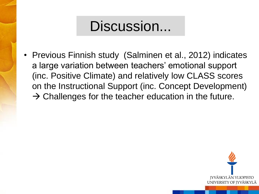#### Discussion...

• Previous Finnish study (Salminen et al., 2012) indicates a large variation between teachers' emotional support (inc. Positive Climate) and relatively low CLASS scores on the Instructional Support (inc. Concept Development)  $\rightarrow$  Challenges for the teacher education in the future.

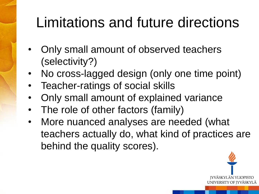## Limitations and future directions

- Only small amount of observed teachers (selectivity?)
- No cross-lagged design (only one time point)
- Teacher-ratings of social skills
- Only small amount of explained variance
- The role of other factors (family)
- More nuanced analyses are needed (what teachers actually do, what kind of practices are behind the quality scores).